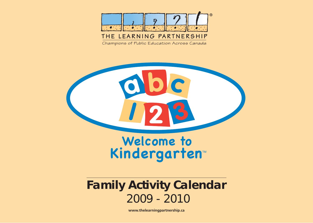

Champions of Public Education Across Canada



# **Family Activity Calendar** 2009 - 2010

**www.thelearningpartnership.ca**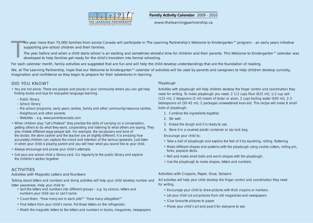

www.thelearningpartnership.ca

T his year more than 75,000 families from across Canada will participate in The Learning Partnership's Welcome to Kindergarten™ program – an early years initiative supporting pre-school children and their families.

The year before and when a child starts school is an exciting and sometimes stressful time for children and their parents. This Welcome to Kindergarten™ calendar was developed to help families get ready for the child's transition into formal schooling.

For each calendar month, family activities are suggested that are fun and will help the child develop understandings that are the foundation of reading.

We, at The Learning Partnership, hope that our Welcome to Kindergarten™ calendar of activities will be used by parents and caregivers to help children develop curiosity, imagination and confidence as they begin to prepare for their adventures in learning.

# DID YOU KNOW?

- You are not alone. There are people and places in your community where you can get help finding books and toys for enjoyable language learning.
	- Public library
	- School library
	- Pre-school programs, early years centres, family and other community/resource centres.
	- Neighbours and other parents
	- Websites e.g. www.parentscanada.com
- When children play "Let's Pretend" they practise the skills of carrying on a conversation, getting others to do what they want, cooperating and listening to what others are saying. They also imitate different ways people talk. For example, the vocabulary and tone of the doctor, the store cashier and the teacher are all slightly different. It is amazing how accurately children can capture the mood and intention of the various speakers. Just listen in when your child is playing parent and you will hear what you sound like to your child.
- Always encourage and praise your child's attempts.
- Get your pre-school child a library card. Go regularly to the public library and explore the children's section together.

# ACTIVITIES

#### Activities with Magnetic Letters and Numbers

Talking about letters and numbers and doing activities will help your child develop number and letter awareness. Help your child to:

- Sort the letters and numbers into different groups e.g. by colours, letters and numbers your child can or can't name.
- Count them. "How many are in each pile?" "How many altogether?"
- Find letters from your child's name. Put these letters on the refrigerator.
- Match the magnetic letters to the letters and numbers in books, magazines, newspapers.

#### Playdough

Activities with playdough will help children develop the finger control and coordination they need for writing. To make playdough you need: 2 1/2 cups flour (625 ml), 1/2 cup salt (125 ml), 2 teaspoons (2 ml) cream of tartar or alum, 2 cups boiling water (500 ml), 2-3 tablespoons oil (30-45 ml), 2 packages unsweetened kool-aid. This recipe will make 8 small balls of playdough.

- 1. Combine the ingredients together.
- 2. Stir well.
- 3. Knead the dough and it is ready to use.
- 4. Store it in a covered plastic container or zip-lock bag.

Encourage your child to:

- Take a ball of playdough and explore the feel of it by squishing, rolling, flattening.
- Make different shapes and patterns with the playdough using cookie cutters, rolling pin, forks, popsicle sticks.
- Roll and make small balls and worm shapes with the playdough.
- Use the playdough to make shapes, letters and numbers.

#### Activities with Crayons, Paper, Glue, Scissors

Art activities will help your child develop the finger control and coordination they need for writing.

- Encourage your child to draw pictures with thick crayons or markers.
- Let your child cut out pictures from old magazines and newspapers.
- Glue favourite pictures to paper.
- Praise your child's art and post it for everyone to see.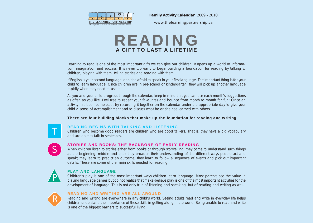

www.thelearningpartnership.ca



Learning to read is one of the most important gifts we can give our children. It opens up a world of information, imagination and success. It is never too early to begin building a foundation for reading by talking to children, playing with them, telling stories and reading with them.

If English is your second language, don't be afraid to speak in your first language. The important thing is for your child to learn language. Once children are in pre-school or kindergarten, they will pick up another language rapidly when they need to use it.

As you and your child progress through the calendar, keep in mind that you can use each month's suggestions as often as you like. Feel free to repeat your favourites and bounce from month to month for fun! Once an activity has been completed, try recording it together on the calendar under the appropriate day to give your child a sense of accomplishment and to discuss what he or she has learned with others.

#### There are four building blocks that make up the foundation for reading and writing.



#### READING BEGINS WITH TALKING AND LISTENING

Children who become good readers are children who are good talkers. That is, they have a big vocabulary and are able to talk in sentences.



#### STORIES AND BOOKS: THE BACKBONE OF EARLY READING

When children listen to stories either from books or through storytelling, they come to understand such things as the beginning, middle and end; they broaden their understanding of the different ways people act and speak; they learn to predict an outcome; they learn to follow a sequence of events and pick out important details. These are some of the main skills needed for reading.



#### PLAY AND LANGUAGE

Children's play is one of the most important ways children learn language. Most parents see the value in playing language games but do not realize that make-believe play is one of the most important activities for the development of language. This is not only true of listening and speaking, but of reading and writing as well.



#### READING AND WRITING ARE ALL AROUND

Reading and writing are everywhere in any child's world. Seeing adults read and write in everyday life helps children understand the importance of these skills in getting along in the world. Being unable to read and write is one of the biggest barriers to successful living.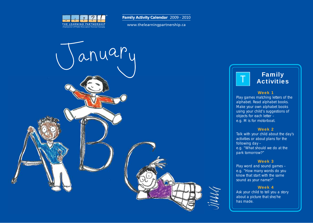

www.thelearningpartnership.ca





#### Week 1

Play games matching letters of the alphabet. Read alphabet books. Make your own alphabet books using your child's suggestions of objects for each letter – e.g. M is for motorboat.

#### Week 2

Talk with your child about the day's activities or about plans for the following day – e.g. "What should we do at the park tomorrow?"

#### Week 3

Play word and sound games – e.g. "How many words do you know that start with the same sound as your name?"

### Week 4

Ask your child to tell you a story about a picture that she/he has made.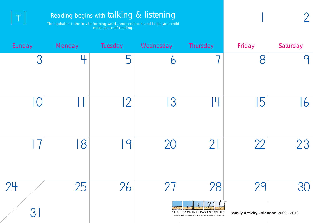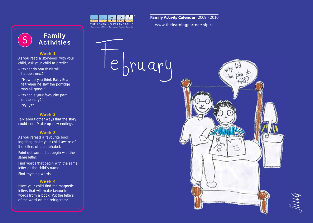

www.thelearningpartnership.ca



#### Week 1

As you read a storybook with your child, ask your child to predict:

- "What do you think will happen next?"
- "How do you think Baby Bear felt when he saw the porridge was all gone?"
- "What is your favourite part of the story?"
- $-$  "Why?"

#### Week 2

Talk about other ways that the story could end. Make up new endings.

#### Week 3

As you reread a favourite book together, make your child aware of the letters of the alphabet.

Point out words that begin with the same letter.

Find words that begin with the same letter as the child's name.

Find rhyming words.

# Week 4

Have your child find the magnetic letters that will make favourite words from a book. Put the letters of the word on the refrigerator.

le fruary

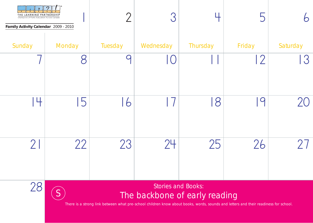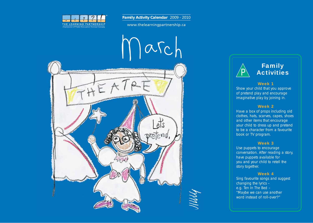

www.thelearningpartnership.ca



# Family **Activities**

#### Week 1

Show your child that you approve of pretend play and encourage imaginative play by joining in.

## Week 2

Have a box of props including old clothes, hats, scarves, capes, shoes and other items that encourage your child to dress up and pretend to be a character from a favourite book or TV program.

#### Week 3

Use puppets to encourage conversation. After reading a story, have puppets available for you and your child to retell the story together.

### Week 4

Sing favourite songs and suggest changing the lyrics – e.g. *Ten In The Bed* – "Maybe we can use another word instead of roll-over?"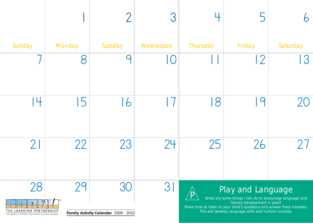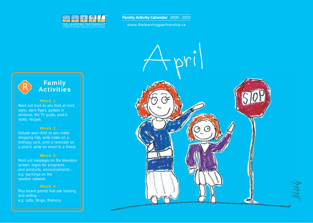

www.thelearningpartnership.ca





#### Week 1

Read out loud as you look at road signs, store flyers, posters in windows, the TV guide, post-it notes, recipes.

#### Week 2

Include your child as you make shopping lists, write notes on a birthday card, print a reminder on a post-it, write an email to a friend.

#### Week 3

Point out messages on the television screen, logos for programs and products, announcements – e.g. warnings on the weather network.

# Week 4

Play board games that use reading and writing – e.g. Lotto, Bingo, Memory.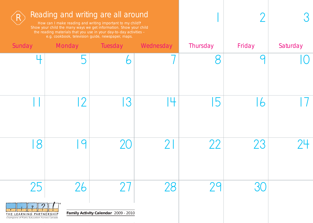| Reading and writing are all around<br>How can I make reading and writing important to my child?<br>Show your child the many ways we get information. Show your child<br>the reading materials that you use in your day-to-day activities -<br>e.g. cookbook, television guide, newspaper, maps. |             |                                      |           |          |                  |           |
|-------------------------------------------------------------------------------------------------------------------------------------------------------------------------------------------------------------------------------------------------------------------------------------------------|-------------|--------------------------------------|-----------|----------|------------------|-----------|
| Sunday                                                                                                                                                                                                                                                                                          | Monday      | Tuesday                              | Wednesday | Thursday | Friday           | Saturday  |
|                                                                                                                                                                                                                                                                                                 |             |                                      |           |          |                  |           |
|                                                                                                                                                                                                                                                                                                 |             | 3                                    | 4         |          |                  |           |
| $\mathbf O$<br>Ć                                                                                                                                                                                                                                                                                | $\mathbf Q$ | $\Omega$                             | $\bigcap$ | $\Omega$ | つつ<br>$\angle$ J | $\bigcap$ |
| y er<br>THE LEARNING PARTNERSHIP<br>Champions of Public Education Across Canada                                                                                                                                                                                                                 | 26          | Family Activity Calendar 2009 - 2010 | 28        |          |                  |           |